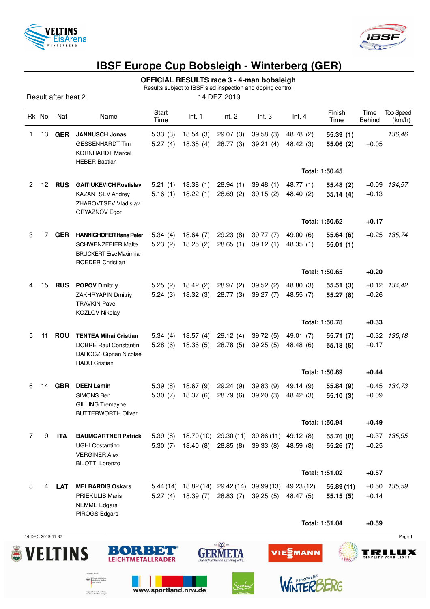



## **IBSF Europe Cup Bobsleigh - Winterberg (GER)**

**OFFICIAL RESULTS race 3 - 4-man bobsleigh**

Results subject to IBSF sled inspection and doping control

Result after heat 2 14 DEZ 2019

|    | Rk No | Nat        | Name                                                                                                                     | Start<br>Time      | Int. 1                       | Int. 2                           | Int.3                                                             | Int.4                  | Finish<br>Time         | Time<br><b>Behind</b> | <b>Top Speed</b><br>(km/h) |
|----|-------|------------|--------------------------------------------------------------------------------------------------------------------------|--------------------|------------------------------|----------------------------------|-------------------------------------------------------------------|------------------------|------------------------|-----------------------|----------------------------|
| 1. | 13    | <b>GER</b> | <b>JANNUSCH Jonas</b><br><b>GESSENHARDT Tim</b><br><b>KORNHARDT Marcel</b><br><b>HEBER Bastian</b>                       | 5.33(3)<br>5.27(4) | 18.54(3)<br>18.35(4)         | 29.07(3)<br>28.77(3)             | 39.58(3)<br>39.21(4)                                              | 48.78 (2)<br>48.42 (3) | 55.39(1)<br>55.06 (2)  | $+0.05$               | 136,46                     |
|    |       |            |                                                                                                                          |                    |                              |                                  |                                                                   |                        | Total: 1:50.45         |                       |                            |
| 2  | 12    | <b>RUS</b> | <b>GAITIUKEVICH Rostislav</b><br><b>KAZANTSEV Andrey</b><br>ZHAROVTSEV Vladislav<br>GRYAZNOV Egor                        | 5.21(1)<br>5.16(1) | 18.38(1)<br>18.22(1)         | 28.94(1)<br>28.69(2)             | 39.48(1)<br>39.15(2)                                              | 48.77 (1)<br>48.40 (2) | 55.48 (2)<br>55.14(4)  | $+0.13$               | $+0.09$ 134,57             |
|    |       |            |                                                                                                                          |                    |                              |                                  |                                                                   |                        | Total: 1:50.62         | $+0.17$               |                            |
| 3  | 7     | <b>GER</b> | <b>HANNIGHOFER Hans Peter</b><br><b>SCHWENZFEIER Malte</b><br><b>BRUCKERT</b> Erec Maximilian<br><b>ROEDER Christian</b> | 5.34(4)<br>5.23(2) | 18.64(7)<br>18.25(2)         | 29.23 (8)<br>28.65(1)            | 39.77 (7)<br>39.12(1)                                             | 49.00 (6)<br>48.35(1)  | 55.64 (6)<br>55.01(1)  |                       | $+0.25$ 135,74             |
|    |       |            |                                                                                                                          |                    |                              |                                  |                                                                   |                        | Total: 1:50.65         | $+0.20$               |                            |
| 4  | 15    | <b>RUS</b> | <b>POPOV Dmitriy</b><br><b>ZAKHRYAPIN Dmitriy</b><br><b>TRAVKIN Pavel</b><br>KOZLOV Nikolay                              | 5.25(2)<br>5.24(3) | 18.42(2)<br>18.32(3)         | 28.97 (2)<br>28.77(3)            | 39.52(2)<br>39.27(7)                                              | 48.80 (3)<br>48.55 (7) | 55.51(3)<br>55.27(8)   | $+0.26$               | $+0.12$ 134,42             |
|    |       |            |                                                                                                                          |                    |                              |                                  |                                                                   |                        | Total: 1:50.78         | $+0.33$               |                            |
| 5  | 11    | <b>ROU</b> | <b>TENTEA Mihai Cristian</b><br><b>DOBRE Raul Constantin</b><br>DAROCZI Ciprian Nicolae<br>RADU Cristian                 | 5.34(4)<br>5.28(6) | 18.57(4)<br>18.36(5)         | 29.12(4)<br>28.78 (5)            | 39.72(5)<br>39.25(5)                                              | 49.01 (7)<br>48.48 (6) | 55.71 (7)<br>55.18 (6) | $+0.17$               | $+0.32$ $135,18$           |
|    |       |            |                                                                                                                          |                    |                              |                                  |                                                                   | Total: 1:50.89         |                        | $+0.44$               |                            |
| 6  | 14    | <b>GBR</b> | <b>DEEN Lamin</b><br>SIMONS Ben<br><b>GILLING Tremayne</b><br><b>BUTTERWORTH Oliver</b>                                  | 5.39(8)<br>5.30(7) | 18.37(6)                     | 18.67 (9) 29.24 (9)<br>28.79 (6) | 39.83 (9)<br>39.20(3)                                             | 49.14 (9)<br>48.42 (3) | 55.84 (9)<br>55.10(3)  | $+0.09$               | $+0.45$ 134,73             |
|    |       |            |                                                                                                                          |                    |                              |                                  |                                                                   |                        | Total: 1:50.94         | $+0.49$               |                            |
| 7  | 9     | <b>ITA</b> | <b>BAUMGARTNER Patrick</b><br><b>UGHI Costantino</b><br><b>VERGINER Alex</b><br><b>BILOTTI Lorenzo</b>                   | 5.39(8)<br>5.30(7) |                              | 18.40 (8) 28.85 (8)              | 18.70 (10) 29.30 (11) 39.86 (11) 49.12 (8)<br>39.33(8)            | 48.59 (8)              | 55.76 (8)<br>55.26 (7) | $+0.25$               | $+0.37$ 135,95             |
|    |       |            |                                                                                                                          |                    |                              |                                  |                                                                   |                        | Total: 1:51.02         | $+0.57$               |                            |
| 8  | 4     | LAT        | <b>MELBARDIS Oskars</b><br><b>PRIEKULIS Maris</b><br><b>NEMME Edgars</b><br>PIROGS Edgars                                |                    | 5.27 (4) 18.39 (7) 28.83 (7) |                                  | 5.44 (14) 18.82 (14) 29.42 (14) 39.99 (13) 49.23 (12)<br>39.25(5) | 48.47 (5)              | 55.89(11)<br>55.15(5)  | $+0.50$<br>$+0.14$    | 135,59                     |
|    |       |            |                                                                                                                          |                    |                              |                                  |                                                                   |                        | Total: 1:51.04         | $+0.59$               |                            |

14 DEC 2019 11:37 Page 1

 $\bigoplus_{\text{des Inner}, \text{fic } \text{Bul}} \left\{\begin{array}{l} \text{Subdefinition} \\ \text{des Inner}, \text{fic } \text{Bul} \\ \text{ord } \text{Heirrat} \end{array}\right.$ 

aufgrund eines Beschlusses<br>des Deutschen Bundestages





www.sportland.nrw.de





WINTERB

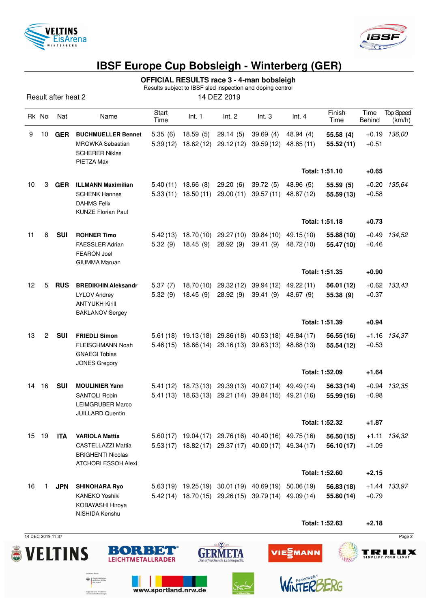



## **IBSF Europe Cup Bobsleigh - Winterberg (GER)**

**OFFICIAL RESULTS race 3 - 4-man bobsleigh**

Results subject to IBSF sled inspection and doping control

Result after heat 2 14 DEZ 2019

|  | Rk No |    | Nat        | Name                                                                                                         | Start<br>Time       | Int. 1                             | Int. 2                            | Int.3                                                                                                          | Int.4                    | Finish<br>Time           | Time<br><b>Behind</b> | <b>Top Speed</b><br>(km/h) |
|--|-------|----|------------|--------------------------------------------------------------------------------------------------------------|---------------------|------------------------------------|-----------------------------------|----------------------------------------------------------------------------------------------------------------|--------------------------|--------------------------|-----------------------|----------------------------|
|  | 9     | 10 | <b>GER</b> | <b>BUCHMUELLER Bennet</b><br><b>MROWKA Sebastian</b><br><b>SCHERER Niklas</b><br>PIETZA Max                  | 5.35(6)<br>5.39(12) | 18.59(5)                           | 29.14(5)<br>18.62 (12) 29.12 (12) | 39.69(4)<br>39.59 (12)                                                                                         | 48.94 (4)<br>48.85 (11)  | 55.58 (4)<br>55.52 (11)  | $+0.19$<br>$+0.51$    | 136,00                     |
|  |       |    |            |                                                                                                              |                     |                                    |                                   |                                                                                                                |                          | Total: 1:51.10           | $+0.65$               |                            |
|  | 10    | 3  | <b>GER</b> | <b>ILLMANN Maximilian</b><br><b>SCHENK Hannes</b><br><b>DAHMS Felix</b><br><b>KUNZE Florian Paul</b>         | 5.40(11)            | 18.66 (8)<br>$5.33(11)$ 18.50 (11) | 29.20(6)<br>29.00(11)             | 39.72(5)<br>39.57 (11)                                                                                         | 48.96 (5)<br>48.87 (12)  | 55.59(5)<br>55.59(13)    | $+0.20$<br>$+0.58$    | 135,64                     |
|  |       |    |            |                                                                                                              |                     |                                    |                                   |                                                                                                                |                          | Total: 1:51.18           | $+0.73$               |                            |
|  | 11    | 8  | <b>SUI</b> | <b>ROHNER Timo</b><br><b>FAESSLER Adrian</b><br><b>FEARON Joel</b><br><b>GIUMMA Maruan</b>                   | 5.42(13)<br>5.32(9) | 18.45(9)                           | 18.70 (10) 29.27 (10)<br>28.92(9) | 39.84 (10)<br>39.41(9)                                                                                         | 49.15 (10)<br>48.72 (10) | 55.88 (10)<br>55.47 (10) | $+0.49$<br>$+0.46$    | 134,52                     |
|  |       |    |            |                                                                                                              |                     |                                    |                                   |                                                                                                                | Total: 1:51.35           |                          | $+0.90$               |                            |
|  | 12    | 5  | <b>RUS</b> | <b>BREDIKHIN Aleksandr</b><br><b>LYLOV Andrey</b><br><b>ANTYUKH Kirill</b><br><b>BAKLANOV Sergey</b>         | 5.37(7)<br>5.32(9)  | 18.45(9)                           | 18.70 (10) 29.32 (12)<br>28.92(9) | 39.94 (12) 49.22 (11)<br>39.41(9)                                                                              | 48.67 (9)                | 56.01 (12)<br>55.38 (9)  | $+0.37$               | $+0.62$ 133,43             |
|  |       |    |            |                                                                                                              |                     |                                    |                                   |                                                                                                                |                          | Total: 1:51.39           | $+0.94$               |                            |
|  | 13    | 2  | <b>SUI</b> | <b>FRIEDLI Simon</b><br><b>FLEISCHMANN Noah</b><br><b>GNAEGI Tobias</b><br><b>JONES Gregory</b>              | 5.61(18)            |                                    |                                   | 19.13 (18) 29.86 (18) 40.53 (18) 49.84 (17)<br>$5.46(15)$ 18.66 $(14)$ 29.16 $(13)$ 39.63 $(13)$ 48.88 $(13)$  |                          | 56.55 (16)<br>55.54 (12) | $+0.53$               | $+1.16$ 134,37             |
|  |       |    |            |                                                                                                              |                     |                                    |                                   |                                                                                                                | Total: 1:52.09           |                          | $+1.64$               |                            |
|  | 14    | 16 | <b>SUI</b> | <b>MOULINIER Yann</b><br><b>SANTOLI Robin</b><br><b>LEIMGRUBER Marco</b><br><b>JUILLARD Quentin</b>          |                     |                                    |                                   | 5.41 (12) 18.73 (13) 29.39 (13) 40.07 (14) 49.49 (14)<br>5.41 (13) 18.63 (13) 29.21 (14) 39.84 (15) 49.21 (16) |                          | 56.33(14)<br>55.99 (16)  | $+0.98$               | $+0.94$ 132,35             |
|  |       |    |            |                                                                                                              |                     |                                    |                                   |                                                                                                                |                          | Total: 1:52.32           | +1.87                 |                            |
|  | 15 19 |    | <b>ITA</b> | <b>VARIOLA Mattia</b><br><b>CASTELLAZZI Mattia</b><br><b>BRIGHENTI Nicolas</b><br><b>ATCHORI ESSOH Alexi</b> |                     |                                    |                                   | 5.60 (17) 19.04 (17) 29.76 (16) 40.40 (16) 49.75 (16)<br>5.53 (17) 18.82 (17) 29.37 (17) 40.00 (17) 49.34 (17) |                          | 56.50(15)<br>56.10(17)   | $+1.09$               | $+1.11$ $134,32$           |
|  |       |    |            |                                                                                                              |                     |                                    |                                   |                                                                                                                |                          | Total: 1:52.60           | $+2.15$               |                            |
|  | 16    | 1  | <b>JPN</b> | <b>SHINOHARA Ryo</b><br>KANEKO Yoshiki<br>KOBAYASHI Hiroya<br>NISHIDA Kenshu                                 |                     |                                    |                                   | 5.63 (19) 19.25 (19) 30.01 (19) 40.69 (19) 50.06 (19)<br>5.42 (14) 18.70 (15) 29.26 (15) 39.79 (14) 49.09 (14) |                          | 56.83(18)<br>55.80 (14)  | $+0.79$               | +1.44 133,97               |
|  |       |    |            |                                                                                                              |                     |                                    |                                   |                                                                                                                |                          | 1.50.00                  |                       |                            |

**Total: 1:52.63 +2.18**





www.sportland.nrw.de

 $\bigoplus_{\text{des Inner}, \text{fic } \text{Bul}} \left\{\begin{array}{l} \text{Subdefinition} \\ \text{des Inner}, \text{fic } \text{Bul} \\ \text{ord } \text{Heirrat} \end{array}\right.$ 

aufgrund eines Beschlusses<br>des Deutschen Bundestages



14 DEC 2019 11:37 Page 2



 $T$ IE $\Xi$ MANN